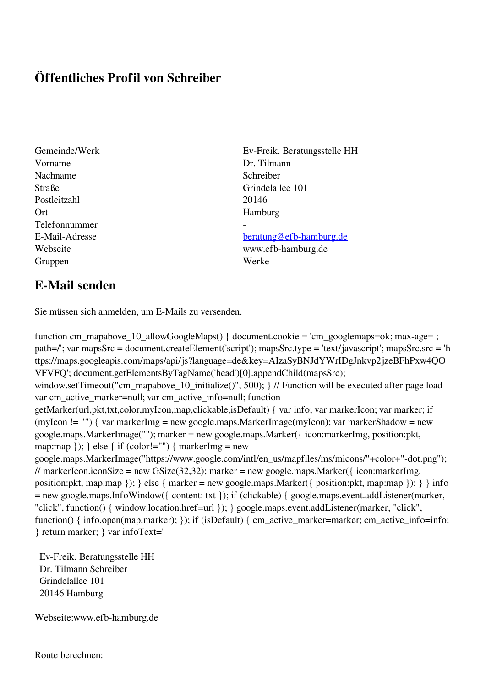## **Öffentliches Profil von Schreiber**

Gemeinde/Werk Ev-Freik. Beratungsstelle HH Vorname Dr. Tilmann Nachname Schreiber Straße Grindelallee 101 Postleitzahl 20146 Ort Hamburg Telefonnummer - Gruppen Werke

## E-Mail-Adresse [beratung@efb-hamburg.de](mailto:beratung@efb-hamburg.de)

Webseite www.efb-hamburg.de

## **E-Mail senden**

Sie müssen sich anmelden, um E-Mails zu versenden.

function cm\_mapabove\_10\_allowGoogleMaps() { document.cookie = 'cm\_googlemaps=ok; max-age= ; path=/'; var mapsSrc = document.createElement('script'); mapsSrc.type = 'text/javascript'; mapsSrc.src = 'h ttps://maps.googleapis.com/maps/api/js?language=de&key=AIzaSyBNJdYWrIDgJnkvp2jzeBFhPxw4QO VFVFQ'; document.getElementsByTagName('head')[0].appendChild(mapsSrc); window.setTimeout("cm\_mapabove\_10\_initialize()", 500); } // Function will be executed after page load var cm\_active\_marker=null; var cm\_active\_info=null; function getMarker(url,pkt,txt,color,myIcon,map,clickable,isDefault) { var info; var markerIcon; var marker; if (myIcon != "") { var markerImg = new google.maps.MarkerImage(myIcon); var markerShadow = new google.maps.MarkerImage(""); marker = new google.maps.Marker({ icon:markerImg, position:pkt, map:map  $\}$ ;  $\}$  else  $\{$  if (color!="")  $\{$  markerImg = new google.maps.MarkerImage("https://www.google.com/intl/en\_us/mapfiles/ms/micons/"+color+"-dot.png"); // markerIcon.iconSize = new GSize(32,32); marker = new google.maps.Marker({ $i$ con:markerImg, position:pkt, map:map }); } else { marker = new google.maps.Marker({ position:pkt, map:map }); } } info = new google.maps.InfoWindow({ content: txt }); if (clickable) { google.maps.event.addListener(marker, "click", function() { window.location.href=url }); } google.maps.event.addListener(marker, "click", function() { info.open(map,marker); }); if (isDefault) { cm\_active\_marker=marker; cm\_active\_info=info; } return marker; } var infoText='

 Ev-Freik. Beratungsstelle HH Dr. Tilmann Schreiber Grindelallee 101 20146 Hamburg

Webseite:www.efb-hamburg.de